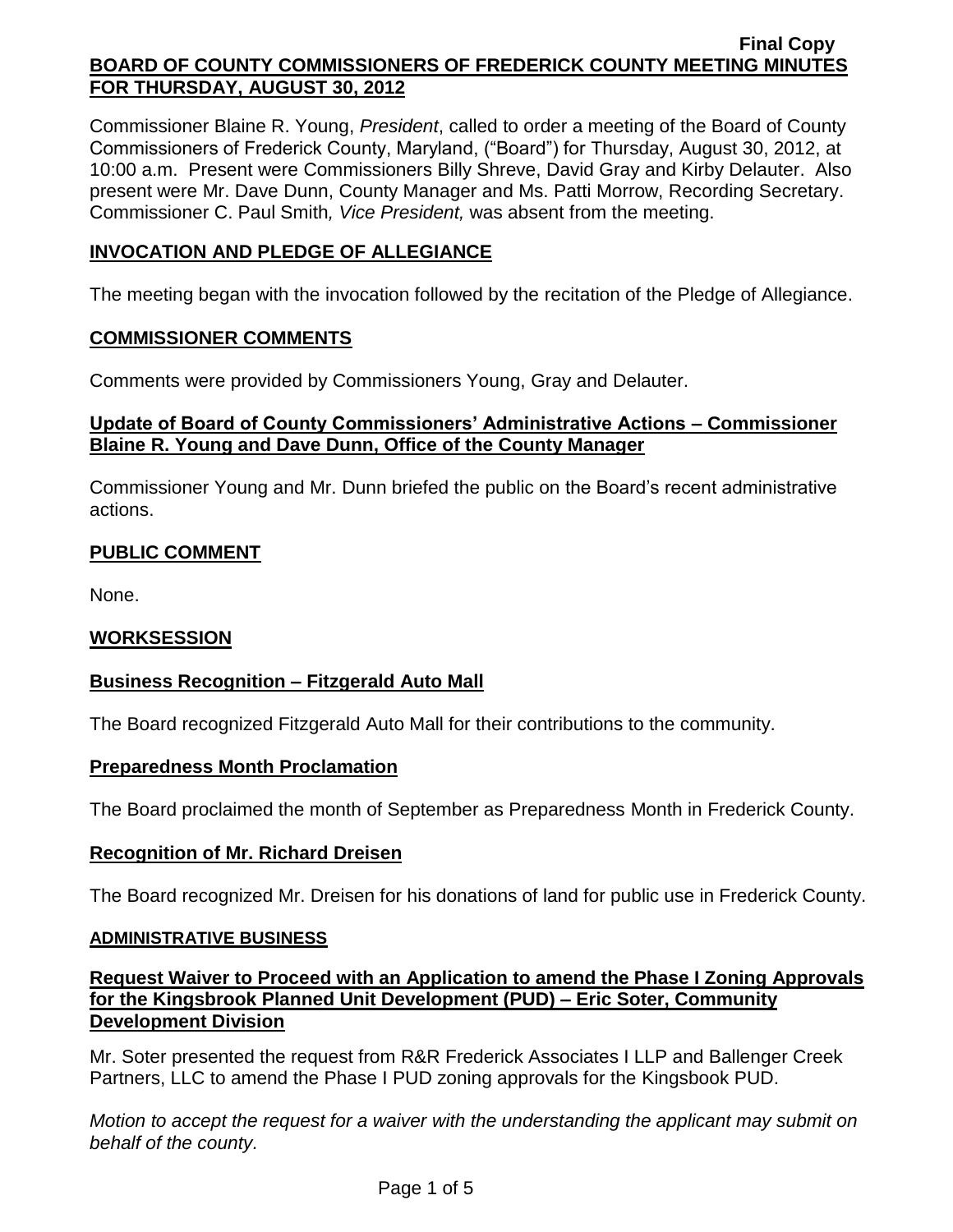Commissioner Blaine R. Young, *President*, called to order a meeting of the Board of County Commissioners of Frederick County, Maryland, ("Board") for Thursday, August 30, 2012, at 10:00 a.m. Present were Commissioners Billy Shreve, David Gray and Kirby Delauter. Also present were Mr. Dave Dunn, County Manager and Ms. Patti Morrow, Recording Secretary. Commissioner C. Paul Smith*, Vice President,* was absent from the meeting.

# **INVOCATION AND PLEDGE OF ALLEGIANCE**

The meeting began with the invocation followed by the recitation of the Pledge of Allegiance.

## **COMMISSIONER COMMENTS**

Comments were provided by Commissioners Young, Gray and Delauter.

## **Update of Board of County Commissioners' Administrative Actions – Commissioner Blaine R. Young and Dave Dunn, Office of the County Manager**

Commissioner Young and Mr. Dunn briefed the public on the Board's recent administrative actions.

# **PUBLIC COMMENT**

None.

## **WORKSESSION**

# **Business Recognition – Fitzgerald Auto Mall**

The Board recognized Fitzgerald Auto Mall for their contributions to the community.

## **Preparedness Month Proclamation**

The Board proclaimed the month of September as Preparedness Month in Frederick County.

## **Recognition of Mr. Richard Dreisen**

The Board recognized Mr. Dreisen for his donations of land for public use in Frederick County.

## **ADMINISTRATIVE BUSINESS**

**Request Waiver to Proceed with an Application to amend the Phase I Zoning Approvals for the Kingsbrook Planned Unit Development (PUD) – Eric Soter, Community Development Division**

Mr. Soter presented the request from R&R Frederick Associates I LLP and Ballenger Creek Partners, LLC to amend the Phase I PUD zoning approvals for the Kingsbook PUD.

*Motion to accept the request for a waiver with the understanding the applicant may submit on behalf of the county.*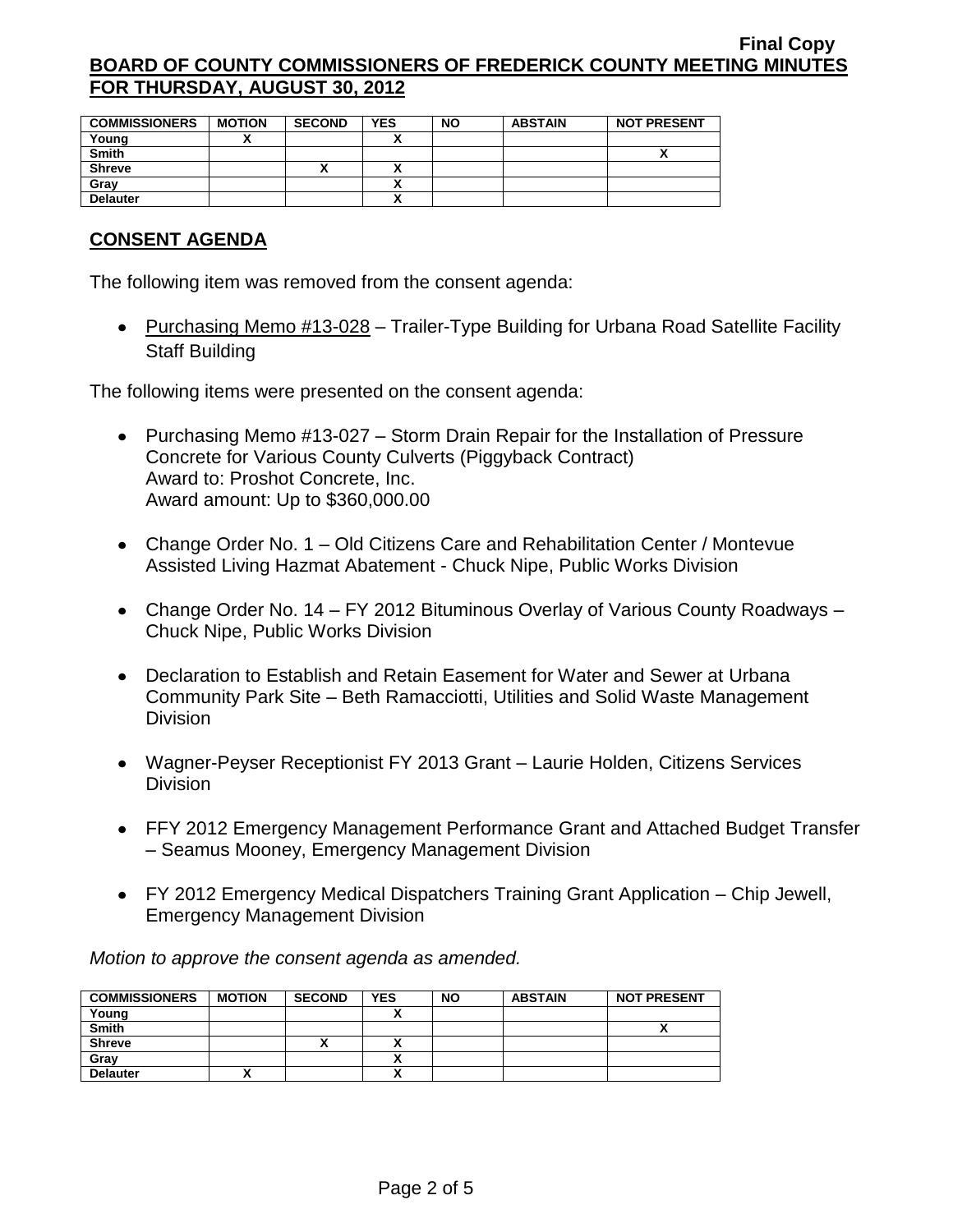| <b>COMMISSIONERS</b> | <b>MOTION</b> | <b>SECOND</b> | <b>YES</b> | <b>NO</b> | <b>ABSTAIN</b> | <b>NOT PRESENT</b> |
|----------------------|---------------|---------------|------------|-----------|----------------|--------------------|
| Young                |               |               |            |           |                |                    |
| <b>Smith</b>         |               |               |            |           |                |                    |
| <b>Shreve</b>        |               | ,,            |            |           |                |                    |
| Gray                 |               |               |            |           |                |                    |
| <b>Delauter</b>      |               |               |            |           |                |                    |

## **CONSENT AGENDA**

The following item was removed from the consent agenda:

• Purchasing Memo #13-028 – Trailer-Type Building for Urbana Road Satellite Facility Staff Building

The following items were presented on the consent agenda:

- Purchasing Memo #13-027 Storm Drain Repair for the Installation of Pressure Concrete for Various County Culverts (Piggyback Contract) Award to: Proshot Concrete, Inc. Award amount: Up to \$360,000.00
- Change Order No. 1 Old Citizens Care and Rehabilitation Center / Montevue Assisted Living Hazmat Abatement - Chuck Nipe, Public Works Division
- Change Order No. 14 FY 2012 Bituminous Overlay of Various County Roadways Chuck Nipe, Public Works Division
- Declaration to Establish and Retain Easement for Water and Sewer at Urbana Community Park Site – Beth Ramacciotti, Utilities and Solid Waste Management Division
- Wagner-Peyser Receptionist FY 2013 Grant Laurie Holden, Citizens Services **Division**
- FFY 2012 Emergency Management Performance Grant and Attached Budget Transfer – Seamus Mooney, Emergency Management Division
- FY 2012 Emergency Medical Dispatchers Training Grant Application Chip Jewell, Emergency Management Division

*Motion to approve the consent agenda as amended.*

| <b>COMMISSIONERS</b> | <b>MOTION</b> | <b>SECOND</b> | <b>YES</b> | <b>NO</b> | <b>ABSTAIN</b> | <b>NOT PRESENT</b> |
|----------------------|---------------|---------------|------------|-----------|----------------|--------------------|
| Young                |               |               |            |           |                |                    |
| <b>Smith</b>         |               |               |            |           |                |                    |
| <b>Shreve</b>        |               | "             |            |           |                |                    |
| Gray                 |               |               |            |           |                |                    |
| <b>Delauter</b>      |               |               |            |           |                |                    |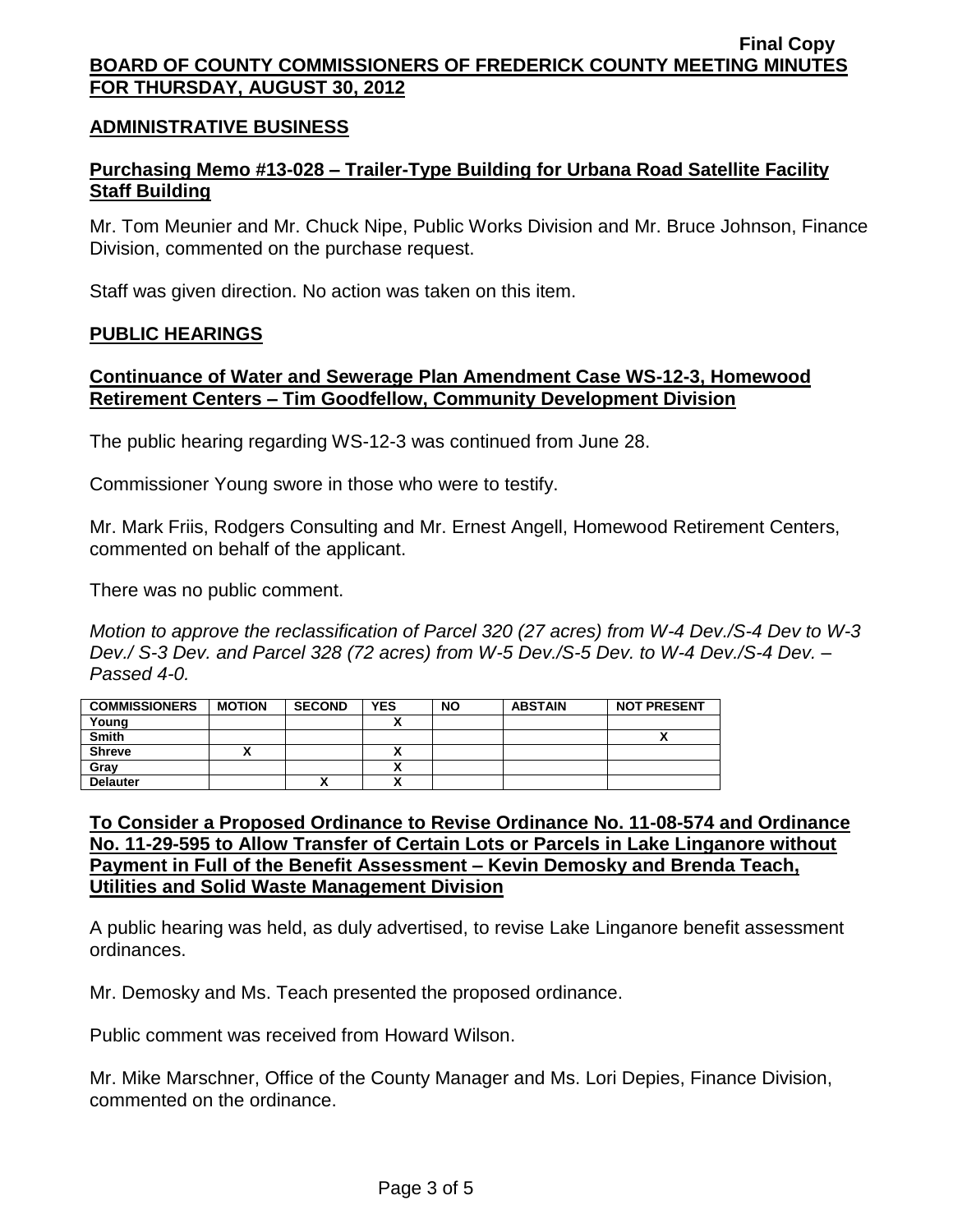## **ADMINISTRATIVE BUSINESS**

## **Purchasing Memo #13-028 – Trailer-Type Building for Urbana Road Satellite Facility Staff Building**

Mr. Tom Meunier and Mr. Chuck Nipe, Public Works Division and Mr. Bruce Johnson, Finance Division, commented on the purchase request.

Staff was given direction. No action was taken on this item.

### **PUBLIC HEARINGS**

## **Continuance of Water and Sewerage Plan Amendment Case WS-12-3, Homewood Retirement Centers – Tim Goodfellow, Community Development Division**

The public hearing regarding WS-12-3 was continued from June 28.

Commissioner Young swore in those who were to testify.

Mr. Mark Friis, Rodgers Consulting and Mr. Ernest Angell, Homewood Retirement Centers, commented on behalf of the applicant.

There was no public comment.

*Motion to approve the reclassification of Parcel 320 (27 acres) from W-4 Dev./S-4 Dev to W-3 Dev./ S-3 Dev. and Parcel 328 (72 acres) from W-5 Dev./S-5 Dev. to W-4 Dev./S-4 Dev. – Passed 4-0.*

| <b>COMMISSIONERS</b> | <b>MOTION</b> | <b>SECOND</b> | <b>YES</b> | <b>NO</b> | <b>ABSTAIN</b> | <b>NOT PRESENT</b> |
|----------------------|---------------|---------------|------------|-----------|----------------|--------------------|
| Young                |               |               |            |           |                |                    |
| <b>Smith</b>         |               |               |            |           |                |                    |
| <b>Shreve</b>        |               |               |            |           |                |                    |
| Gray                 |               |               | ^          |           |                |                    |
| <b>Delauter</b>      |               | "             | A          |           |                |                    |

**To Consider a Proposed Ordinance to Revise Ordinance No. 11-08-574 and Ordinance No. 11-29-595 to Allow Transfer of Certain Lots or Parcels in Lake Linganore without Payment in Full of the Benefit Assessment – Kevin Demosky and Brenda Teach, Utilities and Solid Waste Management Division**

A public hearing was held, as duly advertised, to revise Lake Linganore benefit assessment ordinances.

Mr. Demosky and Ms. Teach presented the proposed ordinance.

Public comment was received from Howard Wilson.

Mr. Mike Marschner, Office of the County Manager and Ms. Lori Depies, Finance Division, commented on the ordinance.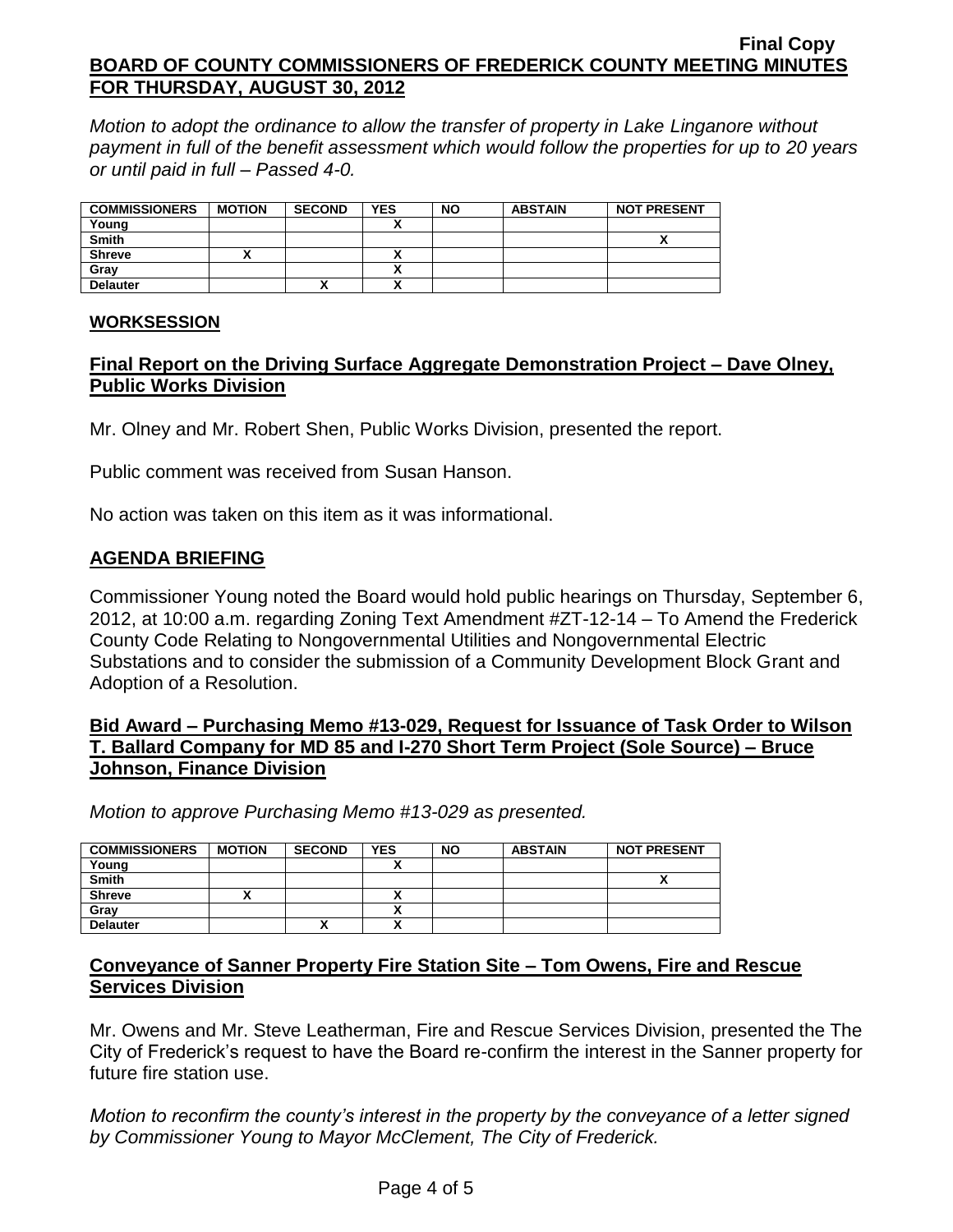*Motion to adopt the ordinance to allow the transfer of property in Lake Linganore without payment in full of the benefit assessment which would follow the properties for up to 20 years or until paid in full – Passed 4-0.*

| <b>COMMISSIONERS</b> | <b>MOTION</b> | <b>SECOND</b> | <b>YES</b> | <b>NO</b> | <b>ABSTAIN</b> | <b>NOT PRESENT</b> |
|----------------------|---------------|---------------|------------|-----------|----------------|--------------------|
| Young                |               |               |            |           |                |                    |
| <b>Smith</b>         |               |               |            |           |                |                    |
| <b>Shreve</b>        |               |               |            |           |                |                    |
| Grav                 |               |               |            |           |                |                    |
| <b>Delauter</b>      |               | "             | ,,         |           |                |                    |

#### **WORKSESSION**

## **Final Report on the Driving Surface Aggregate Demonstration Project – Dave Olney, Public Works Division**

Mr. Olney and Mr. Robert Shen, Public Works Division, presented the report.

Public comment was received from Susan Hanson.

No action was taken on this item as it was informational.

## **AGENDA BRIEFING**

Commissioner Young noted the Board would hold public hearings on Thursday, September 6, 2012, at 10:00 a.m. regarding Zoning Text Amendment #ZT-12-14 – To Amend the Frederick County Code Relating to Nongovernmental Utilities and Nongovernmental Electric Substations and to consider the submission of a Community Development Block Grant and Adoption of a Resolution.

## **Bid Award – Purchasing Memo #13-029, Request for Issuance of Task Order to Wilson T. Ballard Company for MD 85 and I-270 Short Term Project (Sole Source) – Bruce Johnson, Finance Division**

*Motion to approve Purchasing Memo #13-029 as presented.*

| <b>COMMISSIONERS</b> | <b>MOTION</b> | <b>SECOND</b> | <b>YES</b> | <b>NO</b> | <b>ABSTAIN</b> | <b>NOT PRESENT</b> |
|----------------------|---------------|---------------|------------|-----------|----------------|--------------------|
| Young                |               |               |            |           |                |                    |
| <b>Smith</b>         |               |               |            |           |                |                    |
| <b>Shreve</b>        |               |               |            |           |                |                    |
| Grav                 |               |               |            |           |                |                    |
| <b>Delauter</b>      |               |               |            |           |                |                    |

## **Conveyance of Sanner Property Fire Station Site – Tom Owens, Fire and Rescue Services Division**

Mr. Owens and Mr. Steve Leatherman, Fire and Rescue Services Division, presented the The City of Frederick's request to have the Board re-confirm the interest in the Sanner property for future fire station use.

*Motion to reconfirm the county's interest in the property by the conveyance of a letter signed by Commissioner Young to Mayor McClement, The City of Frederick.*